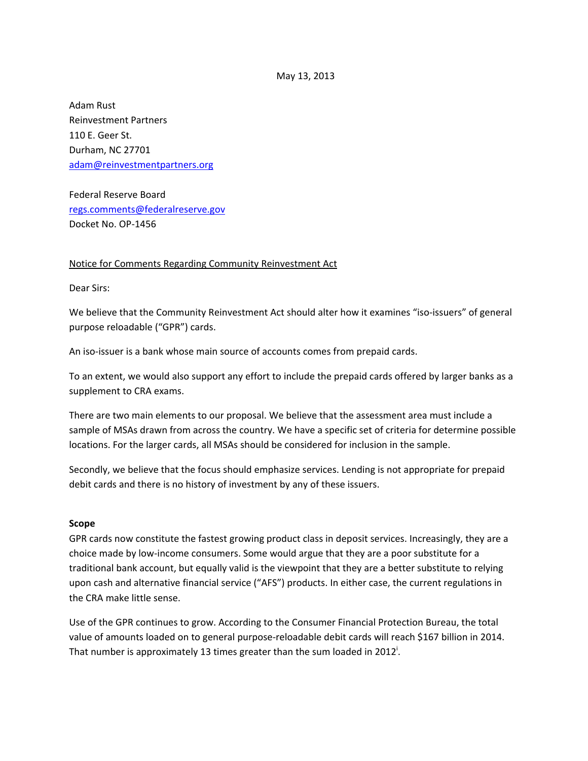May 13, 2013

Adam Rust Reinvestment Partners 110 E. Geer St. Durham, NC 27701 adam@reinvestmentpartners.org

Federal Reserve Board regs.comments@federalreserve.gov Docket No. OP‐1456

### Notice for Comments Regarding Community Reinvestment Act

Dear Sirs:

We believe that the Community Reinvestment Act should alter how it examines "iso-issuers" of general purpose reloadable ("GPR") cards.

An iso‐issuer is a bank whose main source of accounts comes from prepaid cards.

To an extent, we would also support any effort to include the prepaid cards offered by larger banks as a supplement to CRA exams.

There are two main elements to our proposal. We believe that the assessment area must include a sample of MSAs drawn from across the country. We have a specific set of criteria for determine possible locations. For the larger cards, all MSAs should be considered for inclusion in the sample.

Secondly, we believe that the focus should emphasize services. Lending is not appropriate for prepaid debit cards and there is no history of investment by any of these issuers.

#### **Scope**

GPR cards now constitute the fastest growing product class in deposit services. Increasingly, they are a choice made by low‐income consumers. Some would argue that they are a poor substitute for a traditional bank account, but equally valid is the viewpoint that they are a better substitute to relying upon cash and alternative financial service ("AFS") products. In either case, the current regulations in the CRA make little sense.

Use of the GPR continues to grow. According to the Consumer Financial Protection Bureau, the total value of amounts loaded on to general purpose‐reloadable debit cards will reach \$167 billion in 2014. That number is approximately 13 times greater than the sum loaded in 2012<sup>i</sup>.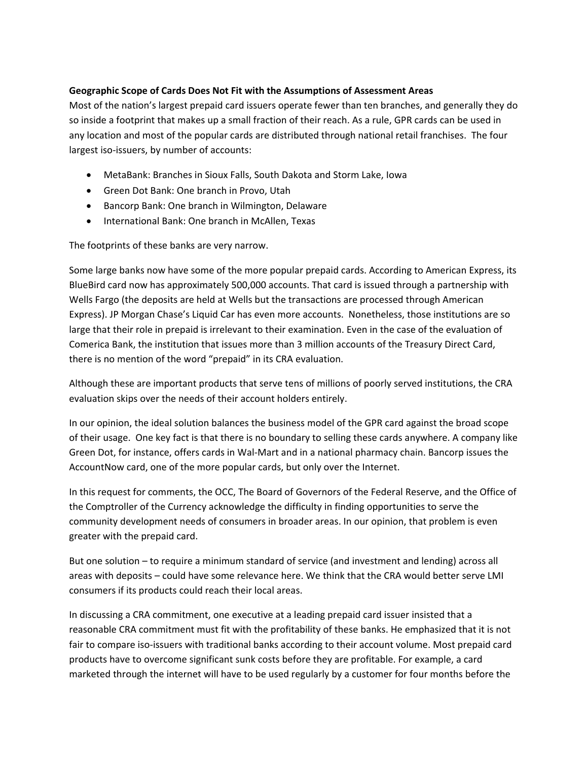# **Geographic Scope of Cards Does Not Fit with the Assumptions of Assessment Areas**

Most of the nation's largest prepaid card issuers operate fewer than ten branches, and generally they do so inside a footprint that makes up a small fraction of their reach. As a rule, GPR cards can be used in any location and most of the popular cards are distributed through national retail franchises. The four largest iso-issuers, by number of accounts:

- MetaBank: Branches in Sioux Falls, South Dakota and Storm Lake, Iowa
- Green Dot Bank: One branch in Provo, Utah
- Bancorp Bank: One branch in Wilmington, Delaware
- International Bank: One branch in McAllen, Texas

The footprints of these banks are very narrow.

Some large banks now have some of the more popular prepaid cards. According to American Express, its BlueBird card now has approximately 500,000 accounts. That card is issued through a partnership with Wells Fargo (the deposits are held at Wells but the transactions are processed through American Express). JP Morgan Chase's Liquid Car has even more accounts. Nonetheless, those institutions are so large that their role in prepaid is irrelevant to their examination. Even in the case of the evaluation of Comerica Bank, the institution that issues more than 3 million accounts of the Treasury Direct Card, there is no mention of the word "prepaid" in its CRA evaluation.

Although these are important products that serve tens of millions of poorly served institutions, the CRA evaluation skips over the needs of their account holders entirely.

In our opinion, the ideal solution balances the business model of the GPR card against the broad scope of their usage. One key fact is that there is no boundary to selling these cards anywhere. A company like Green Dot, for instance, offers cards in Wal‐Mart and in a national pharmacy chain. Bancorp issues the AccountNow card, one of the more popular cards, but only over the Internet.

In this request for comments, the OCC, The Board of Governors of the Federal Reserve, and the Office of the Comptroller of the Currency acknowledge the difficulty in finding opportunities to serve the community development needs of consumers in broader areas. In our opinion, that problem is even greater with the prepaid card.

But one solution – to require a minimum standard of service (and investment and lending) across all areas with deposits – could have some relevance here. We think that the CRA would better serve LMI consumers if its products could reach their local areas.

In discussing a CRA commitment, one executive at a leading prepaid card issuer insisted that a reasonable CRA commitment must fit with the profitability of these banks. He emphasized that it is not fair to compare iso-issuers with traditional banks according to their account volume. Most prepaid card products have to overcome significant sunk costs before they are profitable. For example, a card marketed through the internet will have to be used regularly by a customer for four months before the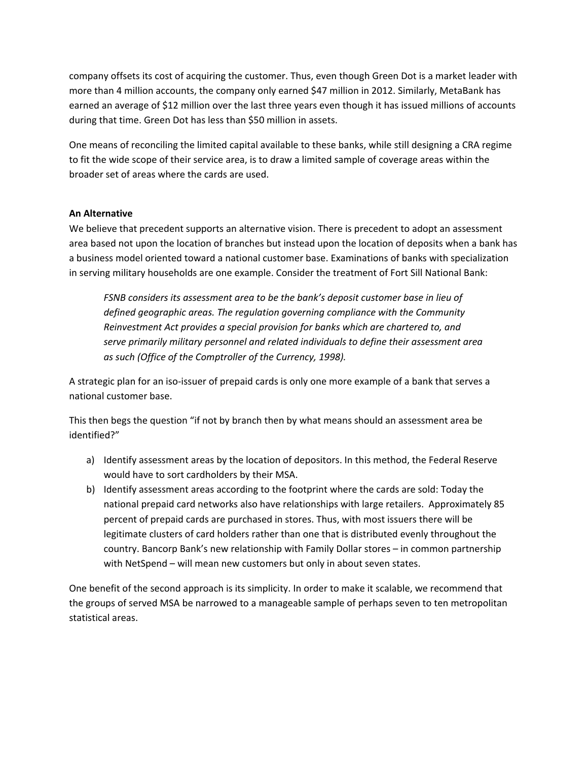company offsets its cost of acquiring the customer. Thus, even though Green Dot is a market leader with more than 4 million accounts, the company only earned \$47 million in 2012. Similarly, MetaBank has earned an average of \$12 million over the last three years even though it has issued millions of accounts during that time. Green Dot has less than \$50 million in assets.

One means of reconciling the limited capital available to these banks, while still designing a CRA regime to fit the wide scope of their service area, is to draw a limited sample of coverage areas within the broader set of areas where the cards are used.

# **An Alternative**

We believe that precedent supports an alternative vision. There is precedent to adopt an assessment area based not upon the location of branches but instead upon the location of deposits when a bank has a business model oriented toward a national customer base. Examinations of banks with specialization in serving military households are one example. Consider the treatment of Fort Sill National Bank:

*FSNB considers its assessment area to be the bank's deposit customer base in lieu of defined geographic areas. The regulation governing compliance with the Community Reinvestment Act provides a special provision for banks which are chartered to, and serve primarily military personnel and related individuals to define their assessment area as such (Office of the Comptroller of the Currency, 1998).*

A strategic plan for an iso‐issuer of prepaid cards is only one more example of a bank that serves a national customer base.

This then begs the question "if not by branch then by what means should an assessment area be identified?"

- a) Identify assessment areas by the location of depositors. In this method, the Federal Reserve would have to sort cardholders by their MSA.
- b) Identify assessment areas according to the footprint where the cards are sold: Today the national prepaid card networks also have relationships with large retailers. Approximately 85 percent of prepaid cards are purchased in stores. Thus, with most issuers there will be legitimate clusters of card holders rather than one that is distributed evenly throughout the country. Bancorp Bank's new relationship with Family Dollar stores – in common partnership with NetSpend – will mean new customers but only in about seven states.

One benefit of the second approach is its simplicity. In order to make it scalable, we recommend that the groups of served MSA be narrowed to a manageable sample of perhaps seven to ten metropolitan statistical areas.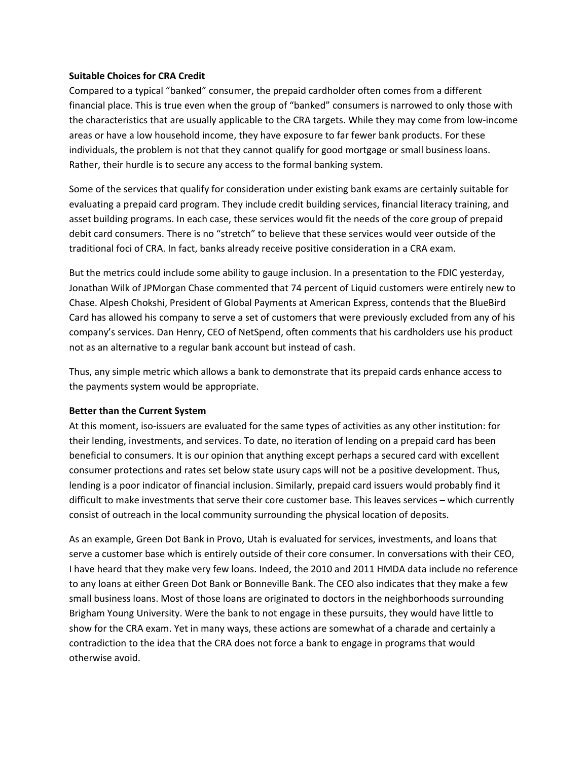### **Suitable Choices for CRA Credit**

Compared to a typical "banked" consumer, the prepaid cardholder often comes from a different financial place. This is true even when the group of "banked" consumers is narrowed to only those with the characteristics that are usually applicable to the CRA targets. While they may come from low‐income areas or have a low household income, they have exposure to far fewer bank products. For these individuals, the problem is not that they cannot qualify for good mortgage or small business loans. Rather, their hurdle is to secure any access to the formal banking system.

Some of the services that qualify for consideration under existing bank exams are certainly suitable for evaluating a prepaid card program. They include credit building services, financial literacy training, and asset building programs. In each case, these services would fit the needs of the core group of prepaid debit card consumers. There is no "stretch" to believe that these services would veer outside of the traditional foci of CRA. In fact, banks already receive positive consideration in a CRA exam.

But the metrics could include some ability to gauge inclusion. In a presentation to the FDIC yesterday, Jonathan Wilk of JPMorgan Chase commented that 74 percent of Liquid customers were entirely new to Chase. Alpesh Chokshi, President of Global Payments at American Express, contends that the BlueBird Card has allowed his company to serve a set of customers that were previously excluded from any of his company's services. Dan Henry, CEO of NetSpend, often comments that his cardholders use his product not as an alternative to a regular bank account but instead of cash.

Thus, any simple metric which allows a bank to demonstrate that its prepaid cards enhance access to the payments system would be appropriate.

#### **Better than the Current System**

At this moment, iso‐issuers are evaluated for the same types of activities as any other institution: for their lending, investments, and services. To date, no iteration of lending on a prepaid card has been beneficial to consumers. It is our opinion that anything except perhaps a secured card with excellent consumer protections and rates set below state usury caps will not be a positive development. Thus, lending is a poor indicator of financial inclusion. Similarly, prepaid card issuers would probably find it difficult to make investments that serve their core customer base. This leaves services – which currently consist of outreach in the local community surrounding the physical location of deposits.

As an example, Green Dot Bank in Provo, Utah is evaluated for services, investments, and loans that serve a customer base which is entirely outside of their core consumer. In conversations with their CEO, I have heard that they make very few loans. Indeed, the 2010 and 2011 HMDA data include no reference to any loans at either Green Dot Bank or Bonneville Bank. The CEO also indicates that they make a few small business loans. Most of those loans are originated to doctors in the neighborhoods surrounding Brigham Young University. Were the bank to not engage in these pursuits, they would have little to show for the CRA exam. Yet in many ways, these actions are somewhat of a charade and certainly a contradiction to the idea that the CRA does not force a bank to engage in programs that would otherwise avoid.